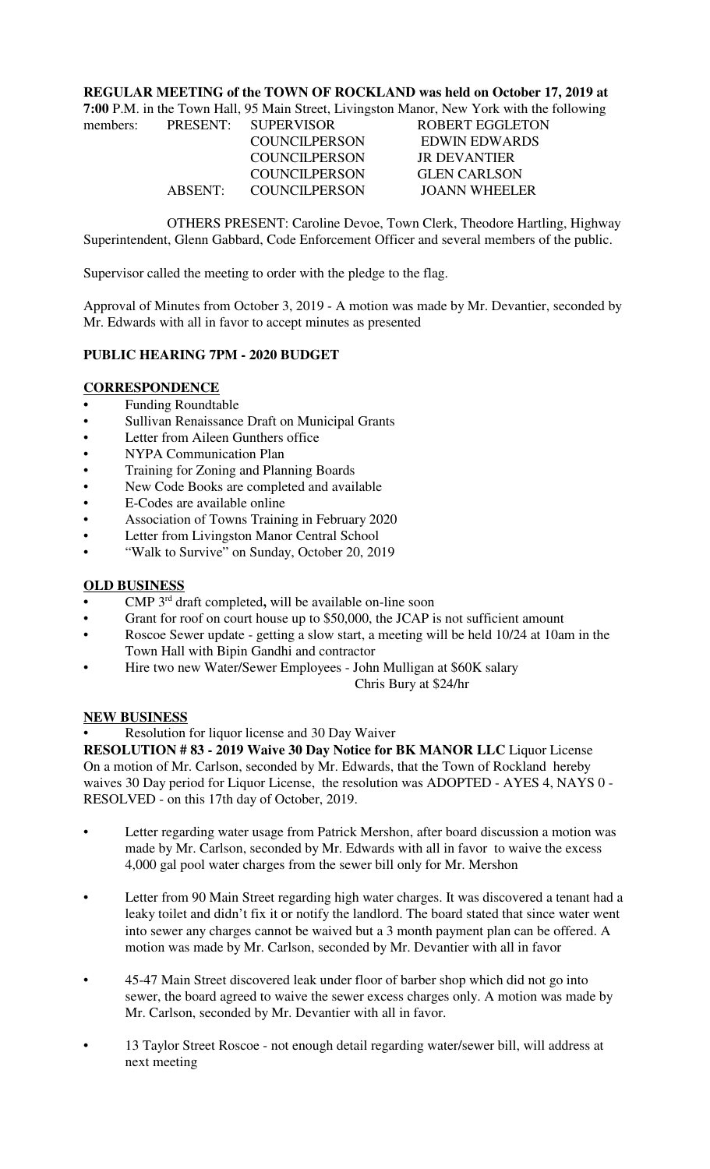### **REGULAR MEETING of the TOWN OF ROCKLAND was held on October 17, 2019 at**

| 7:00 P.M. in the Town Hall, 95 Main Street, Livingston Manor, New York with the following |         |                      |                        |  |  |
|-------------------------------------------------------------------------------------------|---------|----------------------|------------------------|--|--|
| members:                                                                                  |         | PRESENT: SUPERVISOR  | <b>ROBERT EGGLETON</b> |  |  |
|                                                                                           |         | <b>COUNCILPERSON</b> | <b>EDWIN EDWARDS</b>   |  |  |
|                                                                                           |         | <b>COUNCILPERSON</b> | <b>JR DEVANTIER</b>    |  |  |
|                                                                                           |         | <b>COUNCILPERSON</b> | <b>GLEN CARLSON</b>    |  |  |
|                                                                                           | ABSENT: | <b>COUNCILPERSON</b> | <b>JOANN WHEELER</b>   |  |  |

OTHERS PRESENT: Caroline Devoe, Town Clerk, Theodore Hartling, Highway Superintendent, Glenn Gabbard, Code Enforcement Officer and several members of the public.

Supervisor called the meeting to order with the pledge to the flag.

Approval of Minutes from October 3, 2019 - A motion was made by Mr. Devantier, seconded by Mr. Edwards with all in favor to accept minutes as presented

# **PUBLIC HEARING 7PM - 2020 BUDGET**

#### **CORRESPONDENCE**

- **•** Funding Roundtable
- Sullivan Renaissance Draft on Municipal Grants
- Letter from Aileen Gunthers office
- NYPA Communication Plan
- Training for Zoning and Planning Boards
- New Code Books are completed and available
- E-Codes are available online
- Association of Towns Training in February 2020
- Letter from Livingston Manor Central School
- "Walk to Survive" on Sunday, October 20, 2019

### **OLD BUSINESS**

- **•** CMP 3rd draft completed**,** will be available on-line soon
- Grant for roof on court house up to \$50,000, the JCAP is not sufficient amount
- Roscoe Sewer update getting a slow start, a meeting will be held 10/24 at 10am in the Town Hall with Bipin Gandhi and contractor
- Hire two new Water/Sewer Employees John Mulligan at \$60K salary

Chris Bury at \$24/hr

### **NEW BUSINESS**

Resolution for liquor license and 30 Day Waiver

**RESOLUTION # 83 - 2019 Waive 30 Day Notice for BK MANOR LLC** Liquor License On a motion of Mr. Carlson, seconded by Mr. Edwards, that the Town of Rockland hereby waives 30 Day period for Liquor License, the resolution was ADOPTED - AYES 4, NAYS 0 - RESOLVED - on this 17th day of October, 2019.

- Letter regarding water usage from Patrick Mershon, after board discussion a motion was made by Mr. Carlson, seconded by Mr. Edwards with all in favor to waive the excess 4,000 gal pool water charges from the sewer bill only for Mr. Mershon
- Letter from 90 Main Street regarding high water charges. It was discovered a tenant had a leaky toilet and didn't fix it or notify the landlord. The board stated that since water went into sewer any charges cannot be waived but a 3 month payment plan can be offered. A motion was made by Mr. Carlson, seconded by Mr. Devantier with all in favor
- 45-47 Main Street discovered leak under floor of barber shop which did not go into sewer, the board agreed to waive the sewer excess charges only. A motion was made by Mr. Carlson, seconded by Mr. Devantier with all in favor.
- 13 Taylor Street Roscoe not enough detail regarding water/sewer bill, will address at next meeting